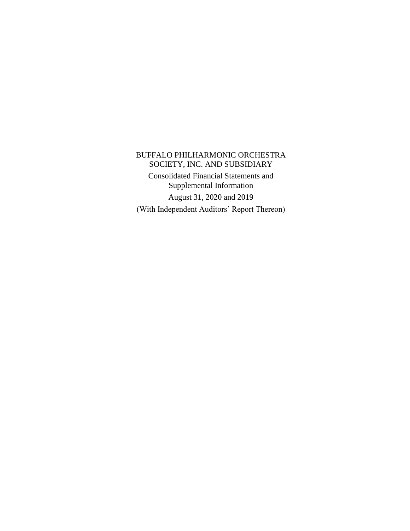BUFFALO PHILHARMONIC ORCHESTRA SOCIETY, INC. AND SUBSIDIARY Consolidated Financial Statements and Supplemental Information August 31, 2020 and 2019 (With Independent Auditors' Report Thereon)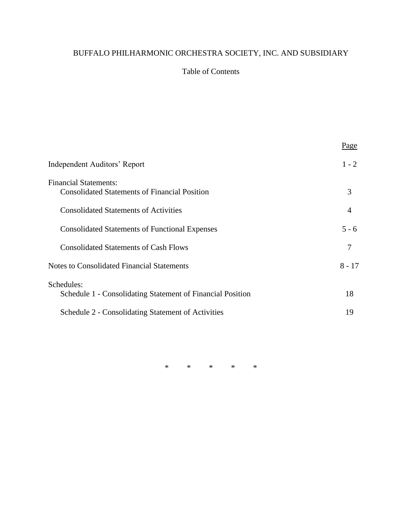Table of Contents

|                                                                                      | Page           |
|--------------------------------------------------------------------------------------|----------------|
| Independent Auditors' Report                                                         | $1 - 2$        |
| <b>Financial Statements:</b><br><b>Consolidated Statements of Financial Position</b> | 3              |
| <b>Consolidated Statements of Activities</b>                                         | $\overline{4}$ |
| <b>Consolidated Statements of Functional Expenses</b>                                | $5 - 6$        |
| <b>Consolidated Statements of Cash Flows</b>                                         | 7              |
| <b>Notes to Consolidated Financial Statements</b>                                    | $8 - 17$       |
| Schedules:<br>Schedule 1 - Consolidating Statement of Financial Position             | 18             |
| Schedule 2 - Consolidating Statement of Activities                                   | 19             |

\* \* \* \* \*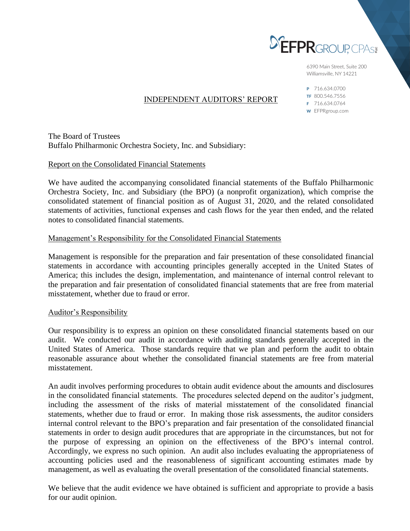

6390 Main Street, Suite 200 Williamsville, NY 14221

# INDEPENDENT AUDITORS' REPORT

P 716.634.0700 TF 800.546.7556 F 716.634.0764 W EFPRgroup.com

The Board of Trustees Buffalo Philharmonic Orchestra Society, Inc. and Subsidiary:

#### Report on the Consolidated Financial Statements

We have audited the accompanying consolidated financial statements of the Buffalo Philharmonic Orchestra Society, Inc. and Subsidiary (the BPO) (a nonprofit organization), which comprise the consolidated statement of financial position as of August 31, 2020, and the related consolidated statements of activities, functional expenses and cash flows for the year then ended, and the related notes to consolidated financial statements.

#### Management's Responsibility for the Consolidated Financial Statements

Management is responsible for the preparation and fair presentation of these consolidated financial statements in accordance with accounting principles generally accepted in the United States of America; this includes the design, implementation, and maintenance of internal control relevant to the preparation and fair presentation of consolidated financial statements that are free from material misstatement, whether due to fraud or error.

#### Auditor's Responsibility

Our responsibility is to express an opinion on these consolidated financial statements based on our audit. We conducted our audit in accordance with auditing standards generally accepted in the United States of America. Those standards require that we plan and perform the audit to obtain reasonable assurance about whether the consolidated financial statements are free from material misstatement.

An audit involves performing procedures to obtain audit evidence about the amounts and disclosures in the consolidated financial statements. The procedures selected depend on the auditor's judgment, including the assessment of the risks of material misstatement of the consolidated financial statements, whether due to fraud or error. In making those risk assessments, the auditor considers internal control relevant to the BPO's preparation and fair presentation of the consolidated financial statements in order to design audit procedures that are appropriate in the circumstances, but not for the purpose of expressing an opinion on the effectiveness of the BPO's internal control. Accordingly, we express no such opinion. An audit also includes evaluating the appropriateness of accounting policies used and the reasonableness of significant accounting estimates made by management, as well as evaluating the overall presentation of the consolidated financial statements.

We believe that the audit evidence we have obtained is sufficient and appropriate to provide a basis for our audit opinion.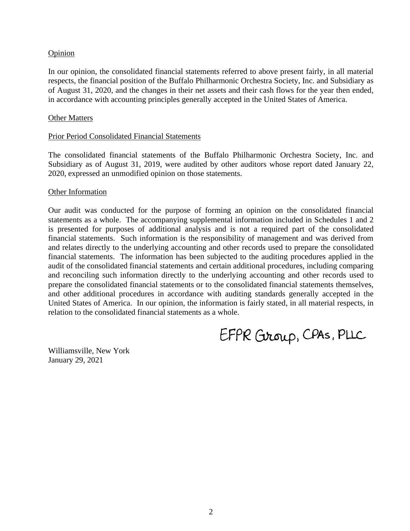#### **Opinion**

In our opinion, the consolidated financial statements referred to above present fairly, in all material respects, the financial position of the Buffalo Philharmonic Orchestra Society, Inc. and Subsidiary as of August 31, 2020, and the changes in their net assets and their cash flows for the year then ended, in accordance with accounting principles generally accepted in the United States of America.

#### Other Matters

#### Prior Period Consolidated Financial Statements

The consolidated financial statements of the Buffalo Philharmonic Orchestra Society, Inc. and Subsidiary as of August 31, 2019, were audited by other auditors whose report dated January 22, 2020, expressed an unmodified opinion on those statements.

#### Other Information

Our audit was conducted for the purpose of forming an opinion on the consolidated financial statements as a whole. The accompanying supplemental information included in Schedules 1 and 2 is presented for purposes of additional analysis and is not a required part of the consolidated financial statements. Such information is the responsibility of management and was derived from and relates directly to the underlying accounting and other records used to prepare the consolidated financial statements. The information has been subjected to the auditing procedures applied in the audit of the consolidated financial statements and certain additional procedures, including comparing and reconciling such information directly to the underlying accounting and other records used to prepare the consolidated financial statements or to the consolidated financial statements themselves, and other additional procedures in accordance with auditing standards generally accepted in the United States of America. In our opinion, the information is fairly stated, in all material respects, in relation to the consolidated financial statements as a whole.

EFPR Group, CPAS, PLLC

Williamsville, New York January 29, 2021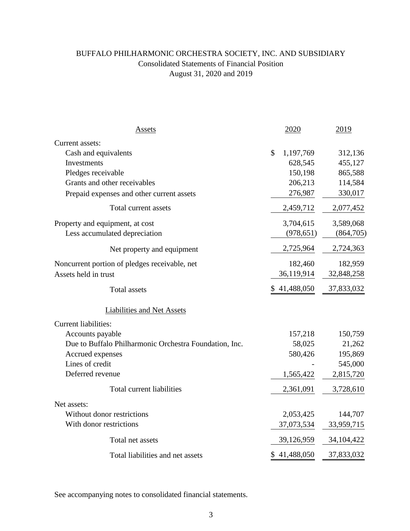# BUFFALO PHILHARMONIC ORCHESTRA SOCIETY, INC. AND SUBSIDIARY Consolidated Statements of Financial Position August 31, 2020 and 2019

| Assets                                                 | 2020                       | 2019         |
|--------------------------------------------------------|----------------------------|--------------|
| Current assets:                                        |                            |              |
| Cash and equivalents                                   | $\mathcal{S}$<br>1,197,769 | 312,136      |
| Investments                                            | 628,545                    | 455,127      |
| Pledges receivable                                     | 150,198                    | 865,588      |
| Grants and other receivables                           | 206,213                    | 114,584      |
| Prepaid expenses and other current assets              | 276,987                    | 330,017      |
| Total current assets                                   | 2,459,712                  | 2,077,452    |
| Property and equipment, at cost                        | 3,704,615                  | 3,589,068    |
| Less accumulated depreciation                          | (978, 651)                 | (864,705)    |
| Net property and equipment                             | 2,725,964                  | 2,724,363    |
| Noncurrent portion of pledges receivable, net          | 182,460                    | 182,959      |
| Assets held in trust                                   | 36,119,914                 | 32,848,258   |
| <b>Total assets</b>                                    | \$41,488,050               | 37,833,032   |
| <b>Liabilities and Net Assets</b>                      |                            |              |
| Current liabilities:                                   |                            |              |
| Accounts payable                                       | 157,218                    | 150,759      |
| Due to Buffalo Philharmonic Orchestra Foundation, Inc. | 58,025                     | 21,262       |
| Accrued expenses                                       | 580,426                    | 195,869      |
| Lines of credit                                        |                            | 545,000      |
| Deferred revenue                                       | 1,565,422                  | 2,815,720    |
| Total current liabilities                              | 2,361,091                  | 3,728,610    |
| Net assets:                                            |                            |              |
| Without donor restrictions                             | 2,053,425                  | 144,707      |
| With donor restrictions                                | 37,073,534                 | 33,959,715   |
| Total net assets                                       | 39,126,959                 | 34, 104, 422 |
| Total liabilities and net assets                       | \$41,488,050               | 37,833,032   |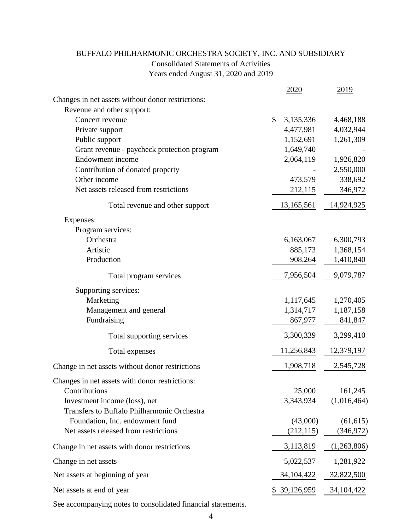# BUFFALO PHILHARMONIC ORCHESTRA SOCIETY, INC. AND SUBSIDIARY Consolidated Statements of Activities Years ended August 31, 2020 and 2019

|                                                    | 2020            | 2019         |
|----------------------------------------------------|-----------------|--------------|
| Changes in net assets without donor restrictions:  |                 |              |
| Revenue and other support:                         |                 |              |
| Concert revenue                                    | \$<br>3,135,336 | 4,468,188    |
| Private support                                    | 4,477,981       | 4,032,944    |
| Public support                                     | 1,152,691       | 1,261,309    |
| Grant revenue - paycheck protection program        | 1,649,740       |              |
| Endowment income                                   | 2,064,119       | 1,926,820    |
| Contribution of donated property                   |                 | 2,550,000    |
| Other income                                       | 473,579         | 338,692      |
| Net assets released from restrictions              | 212,115         | 346,972      |
| Total revenue and other support                    | 13,165,561      | 14,924,925   |
| Expenses:                                          |                 |              |
| Program services:                                  |                 |              |
| Orchestra                                          | 6,163,067       | 6,300,793    |
| Artistic                                           | 885,173         | 1,368,154    |
| Production                                         | 908,264         | 1,410,840    |
| Total program services                             | 7,956,504       | 9,079,787    |
| Supporting services:                               |                 |              |
| Marketing                                          | 1,117,645       | 1,270,405    |
| Management and general                             | 1,314,717       | 1,187,158    |
| Fundraising                                        | 867,977         | 841,847      |
| Total supporting services                          | 3,300,339       | 3,299,410    |
| Total expenses                                     | 11,256,843      | 12,379,197   |
| Change in net assets without donor restrictions    | 1,908,718       | 2,545,728    |
| Changes in net assets with donor restrictions:     |                 |              |
| Contributions                                      | 25,000          | 161,245      |
| Investment income (loss), net                      | 3,343,934       | (1,016,464)  |
| <b>Transfers to Buffalo Philharmonic Orchestra</b> |                 |              |
| Foundation, Inc. endowment fund                    | (43,000)        | (61, 615)    |
| Net assets released from restrictions              | (212, 115)      | (346, 972)   |
| Change in net assets with donor restrictions       | 3,113,819       | (1,263,806)  |
| Change in net assets                               | 5,022,537       | 1,281,922    |
| Net assets at beginning of year                    | 34, 104, 422    | 32,822,500   |
| Net assets at end of year                          | \$39,126,959    | 34, 104, 422 |
|                                                    |                 |              |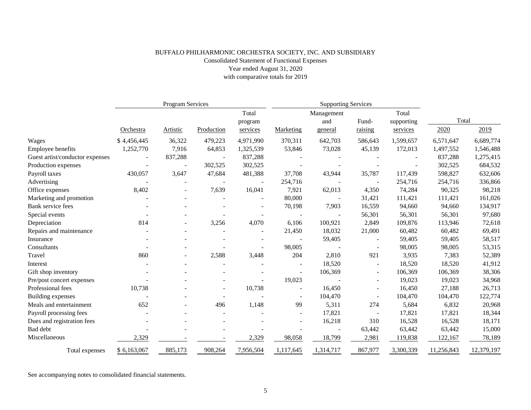#### BUFFALO PHILHARMONIC ORCHESTRA SOCIETY, INC. AND SUBSIDIARY Consolidated Statement of Functional Expenses Year ended August 31, 2020 with comparative totals for 2019

|                                 |             | Program Services |            |           | <b>Supporting Services</b> |            |                          |            |            |            |      |
|---------------------------------|-------------|------------------|------------|-----------|----------------------------|------------|--------------------------|------------|------------|------------|------|
|                                 |             |                  |            | Total     |                            | Management |                          | Total      |            |            |      |
|                                 |             |                  |            | program   |                            | and        | Fund-                    | supporting | Total      |            |      |
|                                 | Orchestra   | Artistic         | Production |           | services                   | Marketing  | general                  | raising    | services   | 2020       | 2019 |
| Wages                           | \$4,456,445 | 36,322           | 479,223    | 4,971,990 | 370,311                    | 642,703    | 586,643                  | 1,599,657  | 6,571,647  | 6,689,774  |      |
| Employee benefits               | 1,252,770   | 7,916            | 64,853     | 1,325,539 | 53,846                     | 73,028     | 45,139                   | 172,013    | 1,497,552  | 1,546,488  |      |
| Guest artist/conductor expenses |             | 837,288          |            | 837,288   |                            |            |                          |            | 837,288    | 1,275,415  |      |
| Production expenses             |             |                  | 302,525    | 302,525   |                            |            |                          |            | 302,525    | 684,532    |      |
| Payroll taxes                   | 430,057     | 3,647            | 47,684     | 481,388   | 37,708                     | 43,944     | 35,787                   | 117,439    | 598,827    | 632,606    |      |
| Advertising                     |             |                  |            |           | 254,716                    |            |                          | 254,716    | 254,716    | 336,866    |      |
| Office expenses                 | 8,402       |                  | 7,639      | 16,041    | 7,921                      | 62,013     | 4,350                    | 74,284     | 90,325     | 98,218     |      |
| Marketing and promotion         |             |                  |            |           | 80,000                     |            | 31,421                   | 111,421    | 111,421    | 161,026    |      |
| Bank service fees               |             |                  |            |           | 70,198                     | 7,903      | 16,559                   | 94,660     | 94,660     | 134,917    |      |
| Special events                  |             |                  |            |           |                            |            | 56,301                   | 56,301     | 56,301     | 97,680     |      |
| Depreciation                    | 814         |                  | 3,256      | 4,070     | 6,106                      | 100,921    | 2,849                    | 109,876    | 113,946    | 72,618     |      |
| Repairs and maintenance         |             |                  |            |           | 21,450                     | 18,032     | 21,000                   | 60,482     | 60,482     | 69,491     |      |
| Insurance                       |             |                  |            |           |                            | 59,405     |                          | 59,405     | 59,405     | 58,517     |      |
| Consultants                     |             |                  |            |           | 98,005                     |            |                          | 98,005     | 98,005     | 53,315     |      |
| Travel                          | 860         |                  | 2,588      | 3,448     | 204                        | 2,810      | 921                      | 3,935      | 7,383      | 52,389     |      |
| Interest                        |             |                  |            |           |                            | 18,520     |                          | 18,520     | 18,520     | 41,912     |      |
| Gift shop inventory             |             |                  |            |           |                            | 106,369    |                          | 106,369    | 106,369    | 38,306     |      |
| Pre/post concert expenses       |             |                  |            |           | 19,023                     |            |                          | 19,023     | 19,023     | 34,968     |      |
| Professional fees               | 10,738      |                  |            | 10,738    |                            | 16,450     |                          | 16,450     | 27,188     | 26,713     |      |
| <b>Building expenses</b>        |             |                  |            |           |                            | 104,470    | $\blacksquare$           | 104,470    | 104,470    | 122,774    |      |
| Meals and entertainment         | 652         |                  | 496        | 1,148     | 99                         | 5,311      | 274                      | 5,684      | 6,832      | 20,968     |      |
| Payroll processing fees         |             |                  |            |           |                            | 17,821     | $\overline{\phantom{a}}$ | 17,821     | 17,821     | 18,344     |      |
| Dues and registration fees      |             |                  |            |           |                            | 16,218     | 310                      | 16,528     | 16,528     | 18,171     |      |
| Bad debt                        |             |                  |            |           |                            |            | 63,442                   | 63,442     | 63,442     | 15,000     |      |
| Miscellaneous                   | 2,329       |                  |            | 2,329     | 98,058                     | 18,799     | 2,981                    | 119,838    | 122,167    | 78,189     |      |
| Total expenses                  | \$6,163,067 | 885,173          | 908,264    | 7,956,504 | 1,117,645                  | 1,314,717  | 867,977                  | 3,300,339  | 11,256,843 | 12,379,197 |      |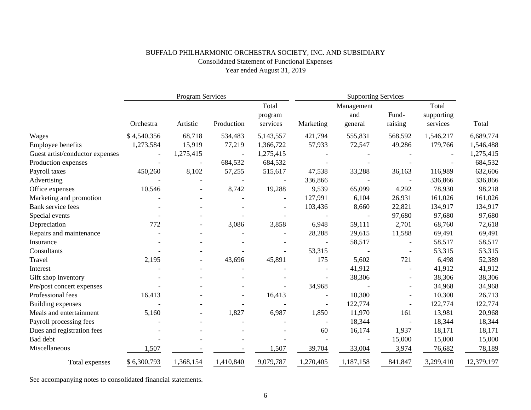### BUFFALO PHILHARMONIC ORCHESTRA SOCIETY, INC. AND SUBSIDIARY Consolidated Statement of Functional Expenses Year ended August 31, 2019

|                                 | <b>Program Services</b> |           |                          | <b>Supporting Services</b>   |           |                              |                  |                                 |            |
|---------------------------------|-------------------------|-----------|--------------------------|------------------------------|-----------|------------------------------|------------------|---------------------------------|------------|
|                                 | Orchestra               | Artistic  | Production               | Total<br>program<br>services | Marketing | Management<br>and<br>general | Fund-<br>raising | Total<br>supporting<br>services | Total      |
| Wages                           | \$4,540,356             | 68,718    | 534,483                  | 5,143,557                    | 421,794   | 555,831                      | 568,592          | 1,546,217                       | 6,689,774  |
| <b>Employee benefits</b>        | 1,273,584               | 15,919    | 77,219                   | 1,366,722                    | 57,933    | 72,547                       | 49,286           | 179,766                         | 1,546,488  |
| Guest artist/conductor expenses |                         | 1,275,415 | $\overline{\phantom{a}}$ | 1,275,415                    |           |                              |                  |                                 | 1,275,415  |
| Production expenses             |                         |           | 684,532                  | 684,532                      |           |                              |                  |                                 | 684,532    |
| Payroll taxes                   | 450,260                 | 8,102     | 57,255                   | 515,617                      | 47,538    | 33,288                       | 36,163           | 116,989                         | 632,606    |
| Advertising                     |                         |           |                          |                              | 336,866   |                              |                  | 336,866                         | 336,866    |
| Office expenses                 | 10,546                  |           | 8,742                    | 19,288                       | 9,539     | 65,099                       | 4,292            | 78,930                          | 98,218     |
| Marketing and promotion         |                         |           |                          |                              | 127,991   | 6,104                        | 26,931           | 161,026                         | 161,026    |
| Bank service fees               |                         |           |                          |                              | 103,436   | 8,660                        | 22,821           | 134,917                         | 134,917    |
| Special events                  |                         |           |                          |                              |           |                              | 97,680           | 97,680                          | 97,680     |
| Depreciation                    | 772                     |           | 3,086                    | 3,858                        | 6,948     | 59,111                       | 2,701            | 68,760                          | 72,618     |
| Repairs and maintenance         |                         |           |                          |                              | 28,288    | 29,615                       | 11,588           | 69,491                          | 69,491     |
| Insurance                       |                         |           |                          |                              |           | 58,517                       |                  | 58,517                          | 58,517     |
| Consultants                     |                         |           |                          |                              | 53,315    |                              |                  | 53,315                          | 53,315     |
| Travel                          | 2,195                   |           | 43,696                   | 45,891                       | 175       | 5,602                        | 721              | 6,498                           | 52,389     |
| Interest                        |                         |           |                          |                              |           | 41,912                       |                  | 41,912                          | 41,912     |
| Gift shop inventory             |                         |           |                          |                              |           | 38,306                       |                  | 38,306                          | 38,306     |
| Pre/post concert expenses       |                         |           |                          |                              | 34,968    |                              |                  | 34,968                          | 34,968     |
| Professional fees               | 16,413                  |           |                          | 16,413                       |           | 10,300                       |                  | 10,300                          | 26,713     |
| <b>Building expenses</b>        |                         |           |                          |                              |           | 122,774                      |                  | 122,774                         | 122,774    |
| Meals and entertainment         | 5,160                   |           | 1,827                    | 6,987                        | 1,850     | 11,970                       | 161              | 13,981                          | 20,968     |
| Payroll processing fees         |                         |           |                          |                              |           | 18,344                       |                  | 18,344                          | 18,344     |
| Dues and registration fees      |                         |           |                          |                              | 60        | 16,174                       | 1,937            | 18,171                          | 18,171     |
| Bad debt                        |                         |           |                          |                              |           |                              | 15,000           | 15,000                          | 15,000     |
| Miscellaneous                   | 1,507                   |           |                          | 1,507                        | 39,704    | 33,004                       | 3,974            | 76,682                          | 78,189     |
| Total expenses                  | \$6,300,793             | 1,368,154 | 1,410,840                | 9,079,787                    | 1,270,405 | 1,187,158                    | 841,847          | 3,299,410                       | 12,379,197 |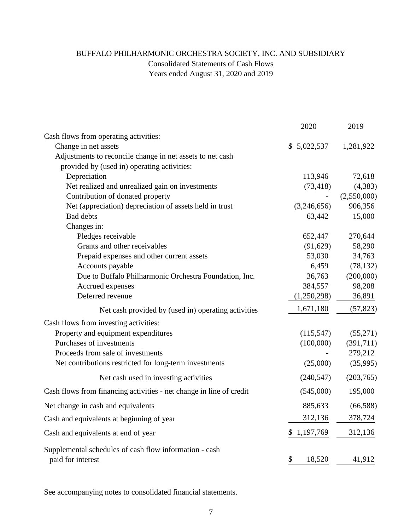# BUFFALO PHILHARMONIC ORCHESTRA SOCIETY, INC. AND SUBSIDIARY Consolidated Statements of Cash Flows Years ended August 31, 2020 and 2019

|                                                                     | 2020            | 2019        |
|---------------------------------------------------------------------|-----------------|-------------|
| Cash flows from operating activities:                               |                 |             |
| Change in net assets                                                | \$5,022,537     | 1,281,922   |
| Adjustments to reconcile change in net assets to net cash           |                 |             |
| provided by (used in) operating activities:                         |                 |             |
| Depreciation                                                        | 113,946         | 72,618      |
| Net realized and unrealized gain on investments                     | (73, 418)       | (4,383)     |
| Contribution of donated property                                    |                 | (2,550,000) |
| Net (appreciation) depreciation of assets held in trust             | (3,246,656)     | 906,356     |
| <b>Bad</b> debts                                                    | 63,442          | 15,000      |
| Changes in:                                                         |                 |             |
| Pledges receivable                                                  | 652,447         | 270,644     |
| Grants and other receivables                                        | (91, 629)       | 58,290      |
| Prepaid expenses and other current assets                           | 53,030          | 34,763      |
| Accounts payable                                                    | 6,459           | (78, 132)   |
| Due to Buffalo Philharmonic Orchestra Foundation, Inc.              | 36,763          | (200,000)   |
| Accrued expenses                                                    | 384,557         | 98,208      |
| Deferred revenue                                                    | (1,250,298)     | 36,891      |
| Net cash provided by (used in) operating activities                 | 1,671,180       | (57, 823)   |
| Cash flows from investing activities:                               |                 |             |
| Property and equipment expenditures                                 | (115, 547)      | (55, 271)   |
| Purchases of investments                                            | (100,000)       | (391,711)   |
| Proceeds from sale of investments                                   |                 | 279,212     |
| Net contributions restricted for long-term investments              | (25,000)        | (35,995)    |
| Net cash used in investing activities                               | (240, 547)      | (203,765)   |
| Cash flows from financing activities - net change in line of credit | (545,000)       | 195,000     |
| Net change in cash and equivalents                                  | 885,633         | (66, 588)   |
| Cash and equivalents at beginning of year                           | 312,136         | 378,724     |
| Cash and equivalents at end of year                                 | 1,197,769<br>\$ | 312,136     |
| Supplemental schedules of cash flow information - cash              |                 |             |
| paid for interest                                                   | \$<br>18,520    | 41,912      |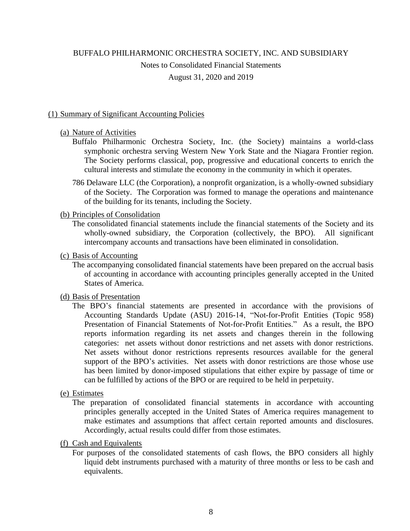# Notes to Consolidated Financial Statements

August 31, 2020 and 2019

### (1) Summary of Significant Accounting Policies

### (a) Nature of Activities

- Buffalo Philharmonic Orchestra Society, Inc. (the Society) maintains a world-class symphonic orchestra serving Western New York State and the Niagara Frontier region. The Society performs classical, pop, progressive and educational concerts to enrich the cultural interests and stimulate the economy in the community in which it operates.
- 786 Delaware LLC (the Corporation), a nonprofit organization, is a wholly-owned subsidiary of the Society. The Corporation was formed to manage the operations and maintenance of the building for its tenants, including the Society.

#### (b) Principles of Consolidation

The consolidated financial statements include the financial statements of the Society and its wholly-owned subsidiary, the Corporation (collectively, the BPO). All significant intercompany accounts and transactions have been eliminated in consolidation.

#### (c) Basis of Accounting

The accompanying consolidated financial statements have been prepared on the accrual basis of accounting in accordance with accounting principles generally accepted in the United States of America.

### (d) Basis of Presentation

The BPO's financial statements are presented in accordance with the provisions of Accounting Standards Update (ASU) 2016-14, "Not-for-Profit Entities (Topic 958) Presentation of Financial Statements of Not-for-Profit Entities." As a result, the BPO reports information regarding its net assets and changes therein in the following categories: net assets without donor restrictions and net assets with donor restrictions. Net assets without donor restrictions represents resources available for the general support of the BPO's activities. Net assets with donor restrictions are those whose use has been limited by donor-imposed stipulations that either expire by passage of time or can be fulfilled by actions of the BPO or are required to be held in perpetuity.

#### (e) Estimates

The preparation of consolidated financial statements in accordance with accounting principles generally accepted in the United States of America requires management to make estimates and assumptions that affect certain reported amounts and disclosures. Accordingly, actual results could differ from those estimates.

#### (f) Cash and Equivalents

For purposes of the consolidated statements of cash flows, the BPO considers all highly liquid debt instruments purchased with a maturity of three months or less to be cash and equivalents.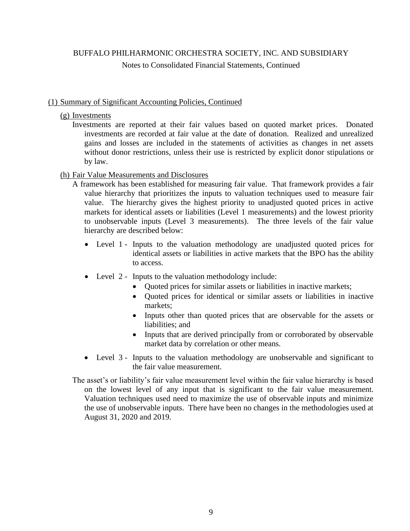### (1) Summary of Significant Accounting Policies, Continued

#### (g) Investments

Investments are reported at their fair values based on quoted market prices. Donated investments are recorded at fair value at the date of donation. Realized and unrealized gains and losses are included in the statements of activities as changes in net assets without donor restrictions, unless their use is restricted by explicit donor stipulations or by law.

### (h) Fair Value Measurements and Disclosures

- A framework has been established for measuring fair value. That framework provides a fair value hierarchy that prioritizes the inputs to valuation techniques used to measure fair value. The hierarchy gives the highest priority to unadjusted quoted prices in active markets for identical assets or liabilities (Level 1 measurements) and the lowest priority to unobservable inputs (Level 3 measurements). The three levels of the fair value hierarchy are described below:
	- Level 1 Inputs to the valuation methodology are unadjusted quoted prices for identical assets or liabilities in active markets that the BPO has the ability to access.
	- Level 2 Inputs to the valuation methodology include:
		- Quoted prices for similar assets or liabilities in inactive markets;
		- Quoted prices for identical or similar assets or liabilities in inactive markets;
		- Inputs other than quoted prices that are observable for the assets or liabilities; and
		- Inputs that are derived principally from or corroborated by observable market data by correlation or other means.
	- Level 3 Inputs to the valuation methodology are unobservable and significant to the fair value measurement.

The asset's or liability's fair value measurement level within the fair value hierarchy is based on the lowest level of any input that is significant to the fair value measurement. Valuation techniques used need to maximize the use of observable inputs and minimize the use of unobservable inputs. There have been no changes in the methodologies used at August 31, 2020 and 2019.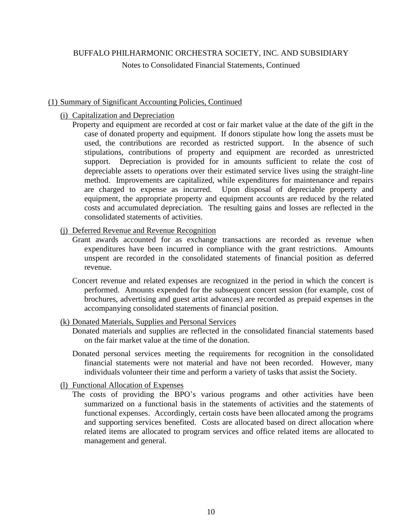Notes to Consolidated Financial Statements, Continued

### (1) Summary of Significant Accounting Policies, Continued

### (i) Capitalization and Depreciation

Property and equipment are recorded at cost or fair market value at the date of the gift in the case of donated property and equipment. If donors stipulate how long the assets must be used, the contributions are recorded as restricted support. In the absence of such stipulations, contributions of property and equipment are recorded as unrestricted support. Depreciation is provided for in amounts sufficient to relate the cost of depreciable assets to operations over their estimated service lives using the straight-line method. Improvements are capitalized, while expenditures for maintenance and repairs are charged to expense as incurred. Upon disposal of depreciable property and equipment, the appropriate property and equipment accounts are reduced by the related costs and accumulated depreciation. The resulting gains and losses are reflected in the consolidated statements of activities.

### (j) Deferred Revenue and Revenue Recognition

- Grant awards accounted for as exchange transactions are recorded as revenue when expenditures have been incurred in compliance with the grant restrictions. Amounts unspent are recorded in the consolidated statements of financial position as deferred revenue.
- Concert revenue and related expenses are recognized in the period in which the concert is performed. Amounts expended for the subsequent concert session (for example, cost of brochures, advertising and guest artist advances) are recorded as prepaid expenses in the accompanying consolidated statements of financial position.
- (k) Donated Materials, Supplies and Personal Services
	- Donated materials and supplies are reflected in the consolidated financial statements based on the fair market value at the time of the donation.
	- Donated personal services meeting the requirements for recognition in the consolidated financial statements were not material and have not been recorded. However, many individuals volunteer their time and perform a variety of tasks that assist the Society.

#### (l) Functional Allocation of Expenses

The costs of providing the BPO's various programs and other activities have been summarized on a functional basis in the statements of activities and the statements of functional expenses. Accordingly, certain costs have been allocated among the programs and supporting services benefited. Costs are allocated based on direct allocation where related items are allocated to program services and office related items are allocated to management and general.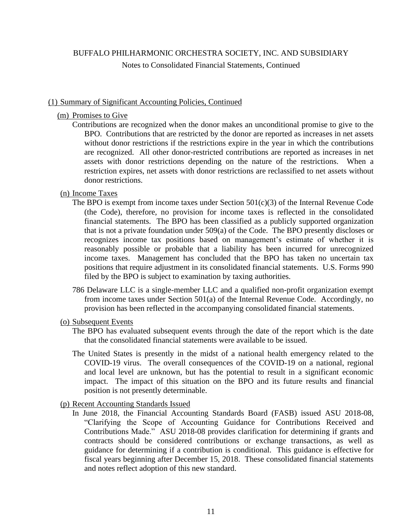#### (1) Summary of Significant Accounting Policies, Continued

#### (m) Promises to Give

Contributions are recognized when the donor makes an unconditional promise to give to the BPO. Contributions that are restricted by the donor are reported as increases in net assets without donor restrictions if the restrictions expire in the year in which the contributions are recognized. All other donor-restricted contributions are reported as increases in net assets with donor restrictions depending on the nature of the restrictions. When a restriction expires, net assets with donor restrictions are reclassified to net assets without donor restrictions.

### (n) Income Taxes

- The BPO is exempt from income taxes under Section  $501(c)(3)$  of the Internal Revenue Code (the Code), therefore, no provision for income taxes is reflected in the consolidated financial statements. The BPO has been classified as a publicly supported organization that is not a private foundation under 509(a) of the Code. The BPO presently discloses or recognizes income tax positions based on management's estimate of whether it is reasonably possible or probable that a liability has been incurred for unrecognized income taxes. Management has concluded that the BPO has taken no uncertain tax positions that require adjustment in its consolidated financial statements. U.S. Forms 990 filed by the BPO is subject to examination by taxing authorities.
- 786 Delaware LLC is a single-member LLC and a qualified non-profit organization exempt from income taxes under Section 501(a) of the Internal Revenue Code. Accordingly, no provision has been reflected in the accompanying consolidated financial statements.

#### (o) Subsequent Events

- The BPO has evaluated subsequent events through the date of the report which is the date that the consolidated financial statements were available to be issued.
- The United States is presently in the midst of a national health emergency related to the COVID-19 virus. The overall consequences of the COVID-19 on a national, regional and local level are unknown, but has the potential to result in a significant economic impact. The impact of this situation on the BPO and its future results and financial position is not presently determinable.

#### (p) Recent Accounting Standards Issued

In June 2018, the Financial Accounting Standards Board (FASB) issued ASU 2018-08, "Clarifying the Scope of Accounting Guidance for Contributions Received and Contributions Made." ASU 2018-08 provides clarification for determining if grants and contracts should be considered contributions or exchange transactions, as well as guidance for determining if a contribution is conditional. This guidance is effective for fiscal years beginning after December 15, 2018. These consolidated financial statements and notes reflect adoption of this new standard.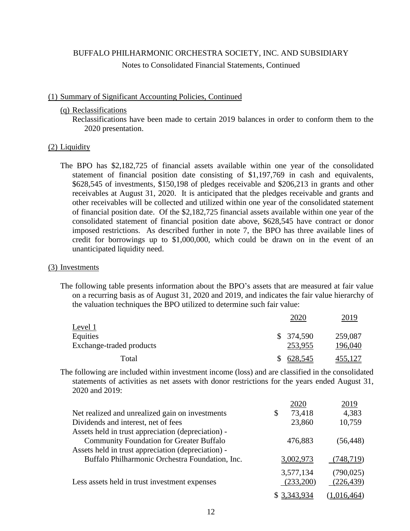#### (1) Summary of Significant Accounting Policies, Continued

#### (q) Reclassifications

Reclassifications have been made to certain 2019 balances in order to conform them to the 2020 presentation.

#### (2) Liquidity

The BPO has \$2,182,725 of financial assets available within one year of the consolidated statement of financial position date consisting of \$1,197,769 in cash and equivalents, \$628,545 of investments, \$150,198 of pledges receivable and \$206,213 in grants and other receivables at August 31, 2020. It is anticipated that the pledges receivable and grants and other receivables will be collected and utilized within one year of the consolidated statement of financial position date. Of the \$2,182,725 financial assets available within one year of the consolidated statement of financial position date above, \$628,545 have contract or donor imposed restrictions. As described further in note 7, the BPO has three available lines of credit for borrowings up to \$1,000,000, which could be drawn on in the event of an unanticipated liquidity need.

#### (3) Investments

The following table presents information about the BPO's assets that are measured at fair value on a recurring basis as of August 31, 2020 and 2019, and indicates the fair value hierarchy of the valuation techniques the BPO utilized to determine such fair value:

|                          | 2020      | 2019    |
|--------------------------|-----------|---------|
| Level 1                  |           |         |
| Equities                 | \$374,590 | 259,087 |
| Exchange-traded products | 253,955   | 196,040 |
| Total                    | 628,545   | 455,127 |

The following are included within investment income (loss) and are classified in the consolidated statements of activities as net assets with donor restrictions for the years ended August 31, 2020 and 2019:

|                                                    | 2020         | 2019        |
|----------------------------------------------------|--------------|-------------|
| Net realized and unrealized gain on investments    | \$<br>73,418 | 4,383       |
| Dividends and interest, net of fees                | 23,860       | 10,759      |
| Assets held in trust appreciation (depreciation) - |              |             |
| <b>Community Foundation for Greater Buffalo</b>    | 476,883      | (56, 448)   |
| Assets held in trust appreciation (depreciation) - |              |             |
| Buffalo Philharmonic Orchestra Foundation, Inc.    | 3,002,973    | (748, 719)  |
|                                                    | 3,577,134    | (790, 025)  |
| Less assets held in trust investment expenses      | (233,200)    | (226, 439)  |
|                                                    | \$3,343,934  | (1,016,464) |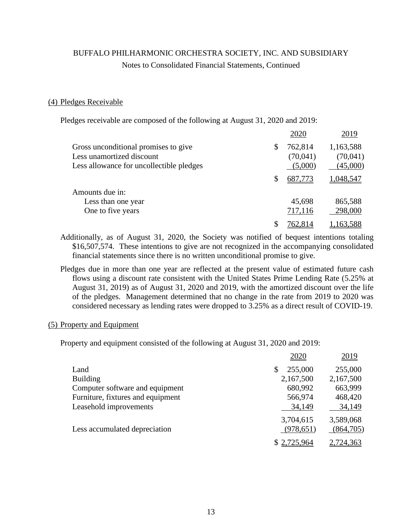#### (4) Pledges Receivable

Pledges receivable are composed of the following at August 31, 2020 and 2019:

|                                                                                                               | 2020                                 | 2019                              |
|---------------------------------------------------------------------------------------------------------------|--------------------------------------|-----------------------------------|
| Gross unconditional promises to give<br>Less unamortized discount<br>Less allowance for uncollectible pledges | \$<br>762,814<br>(70,041)<br>(5,000) | 1,163,588<br>(70,041)<br>(45,000) |
|                                                                                                               | \$<br>687,773                        | 1,048,547                         |
| Amounts due in:                                                                                               |                                      |                                   |
| Less than one year                                                                                            | 45,698                               | 865,588                           |
| One to five years                                                                                             | 717,116                              | 298,000                           |
|                                                                                                               | 762,814                              | 1,163,588                         |

Additionally, as of August 31, 2020, the Society was notified of bequest intentions totaling \$16,507,574. These intentions to give are not recognized in the accompanying consolidated financial statements since there is no written unconditional promise to give.

Pledges due in more than one year are reflected at the present value of estimated future cash flows using a discount rate consistent with the United States Prime Lending Rate (5.25% at August 31, 2019) as of August 31, 2020 and 2019, with the amortized discount over the life of the pledges. Management determined that no change in the rate from 2019 to 2020 was considered necessary as lending rates were dropped to 3.25% as a direct result of COVID-19.

#### (5) Property and Equipment

Property and equipment consisted of the following at August 31, 2020 and 2019:

|                                   | 2020                    | 2019                   |
|-----------------------------------|-------------------------|------------------------|
| Land                              | 255,000<br>\$           | 255,000                |
| <b>Building</b>                   | 2,167,500               | 2,167,500              |
| Computer software and equipment   | 680,992                 | 663,999                |
| Furniture, fixtures and equipment | 566,974                 | 468,420                |
| Leasehold improvements            | 34,149                  | 34,149                 |
| Less accumulated depreciation     | 3,704,615<br>(978, 651) | 3,589,068<br>(864,705) |
|                                   | \$2,725,964             | 2,724,363              |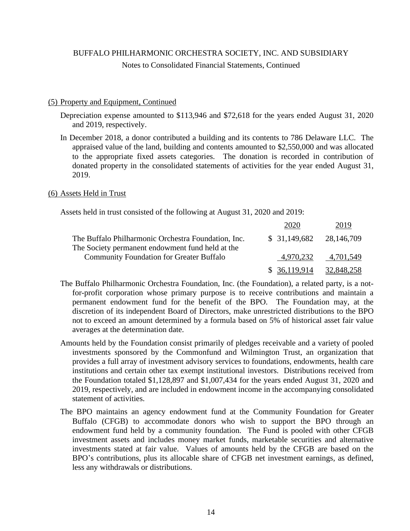### (5) Property and Equipment, Continued

Depreciation expense amounted to \$113,946 and \$72,618 for the years ended August 31, 2020 and 2019, respectively.

In December 2018, a donor contributed a building and its contents to 786 Delaware LLC. The appraised value of the land, building and contents amounted to \$2,550,000 and was allocated to the appropriate fixed assets categories. The donation is recorded in contribution of donated property in the consolidated statements of activities for the year ended August 31, 2019.

### (6) Assets Held in Trust

Assets held in trust consisted of the following at August 31, 2020 and 2019:

|                                                     | 2020                       | 2019                |
|-----------------------------------------------------|----------------------------|---------------------|
| The Buffalo Philharmonic Orchestra Foundation, Inc. | \$31,149,682               | 28.146.709          |
| The Society permanent endowment fund held at the    |                            |                     |
| <b>Community Foundation for Greater Buffalo</b>     |                            | 4,970,232 4,701,549 |
|                                                     | $$36,119,914$ $32,848,258$ |                     |

- The Buffalo Philharmonic Orchestra Foundation, Inc. (the Foundation), a related party, is a notfor-profit corporation whose primary purpose is to receive contributions and maintain a permanent endowment fund for the benefit of the BPO. The Foundation may, at the discretion of its independent Board of Directors, make unrestricted distributions to the BPO not to exceed an amount determined by a formula based on 5% of historical asset fair value averages at the determination date.
- Amounts held by the Foundation consist primarily of pledges receivable and a variety of pooled investments sponsored by the Commonfund and Wilmington Trust, an organization that provides a full array of investment advisory services to foundations, endowments, health care institutions and certain other tax exempt institutional investors. Distributions received from the Foundation totaled \$1,128,897 and \$1,007,434 for the years ended August 31, 2020 and 2019, respectively, and are included in endowment income in the accompanying consolidated statement of activities.
- The BPO maintains an agency endowment fund at the Community Foundation for Greater Buffalo (CFGB) to accommodate donors who wish to support the BPO through an endowment fund held by a community foundation. The Fund is pooled with other CFGB investment assets and includes money market funds, marketable securities and alternative investments stated at fair value. Values of amounts held by the CFGB are based on the BPO's contributions, plus its allocable share of CFGB net investment earnings, as defined, less any withdrawals or distributions.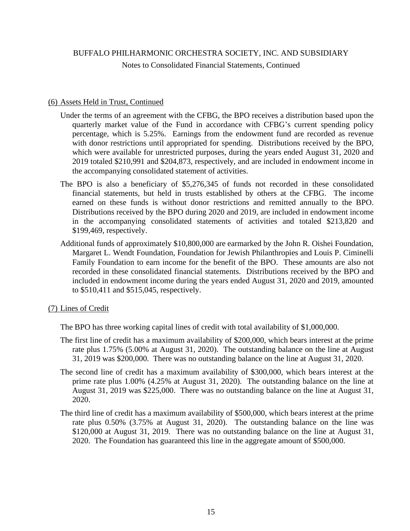Notes to Consolidated Financial Statements, Continued

### (6) Assets Held in Trust, Continued

- Under the terms of an agreement with the CFBG, the BPO receives a distribution based upon the quarterly market value of the Fund in accordance with CFBG's current spending policy percentage, which is 5.25%. Earnings from the endowment fund are recorded as revenue with donor restrictions until appropriated for spending. Distributions received by the BPO, which were available for unrestricted purposes, during the years ended August 31, 2020 and 2019 totaled \$210,991 and \$204,873, respectively, and are included in endowment income in the accompanying consolidated statement of activities.
- The BPO is also a beneficiary of \$5,276,345 of funds not recorded in these consolidated financial statements, but held in trusts established by others at the CFBG. The income earned on these funds is without donor restrictions and remitted annually to the BPO. Distributions received by the BPO during 2020 and 2019, are included in endowment income in the accompanying consolidated statements of activities and totaled \$213,820 and \$199,469, respectively.
- Additional funds of approximately \$10,800,000 are earmarked by the John R. Oishei Foundation, Margaret L. Wendt Foundation, Foundation for Jewish Philanthropies and Louis P. Ciminelli Family Foundation to earn income for the benefit of the BPO. These amounts are also not recorded in these consolidated financial statements. Distributions received by the BPO and included in endowment income during the years ended August 31, 2020 and 2019, amounted to \$510,411 and \$515,045, respectively.

#### (7) Lines of Credit

The BPO has three working capital lines of credit with total availability of \$1,000,000.

- The first line of credit has a maximum availability of \$200,000, which bears interest at the prime rate plus 1.75% (5.00% at August 31, 2020). The outstanding balance on the line at August 31, 2019 was \$200,000. There was no outstanding balance on the line at August 31, 2020.
- The second line of credit has a maximum availability of \$300,000, which bears interest at the prime rate plus 1.00% (4.25% at August 31, 2020). The outstanding balance on the line at August 31, 2019 was \$225,000. There was no outstanding balance on the line at August 31, 2020.
- The third line of credit has a maximum availability of \$500,000, which bears interest at the prime rate plus 0.50% (3.75% at August 31, 2020). The outstanding balance on the line was \$120,000 at August 31, 2019. There was no outstanding balance on the line at August 31, 2020. The Foundation has guaranteed this line in the aggregate amount of \$500,000.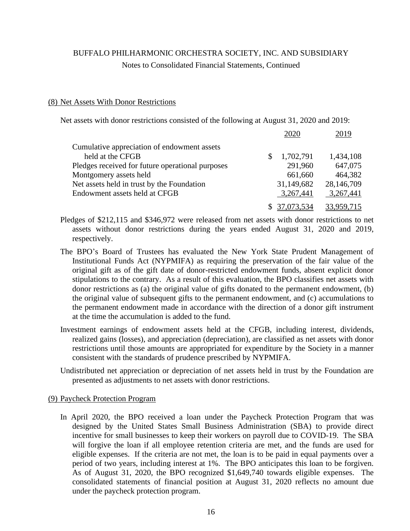#### (8) Net Assets With Donor Restrictions

Net assets with donor restrictions consisted of the following at August 31, 2020 and 2019:

|                                                  |   | 2020       | 2019       |
|--------------------------------------------------|---|------------|------------|
| Cumulative appreciation of endowment assets      |   |            |            |
| held at the CFGB                                 | S | 1,702,791  | 1,434,108  |
| Pledges received for future operational purposes |   | 291,960    | 647,075    |
| Montgomery assets held                           |   | 661,660    | 464,382    |
| Net assets held in trust by the Foundation       |   | 31,149,682 | 28,146,709 |
| Endowment assets held at CFGB                    |   | 3,267,441  | 3,267,441  |
|                                                  |   | 37,073,534 | 33,959,715 |

Pledges of \$212,115 and \$346,972 were released from net assets with donor restrictions to net assets without donor restrictions during the years ended August 31, 2020 and 2019, respectively.

- The BPO's Board of Trustees has evaluated the New York State Prudent Management of Institutional Funds Act (NYPMIFA) as requiring the preservation of the fair value of the original gift as of the gift date of donor-restricted endowment funds, absent explicit donor stipulations to the contrary. As a result of this evaluation, the BPO classifies net assets with donor restrictions as (a) the original value of gifts donated to the permanent endowment, (b) the original value of subsequent gifts to the permanent endowment, and (c) accumulations to the permanent endowment made in accordance with the direction of a donor gift instrument at the time the accumulation is added to the fund.
- Investment earnings of endowment assets held at the CFGB, including interest, dividends, realized gains (losses), and appreciation (depreciation), are classified as net assets with donor restrictions until those amounts are appropriated for expenditure by the Society in a manner consistent with the standards of prudence prescribed by NYPMIFA.
- Undistributed net appreciation or depreciation of net assets held in trust by the Foundation are presented as adjustments to net assets with donor restrictions.

#### (9) Paycheck Protection Program

In April 2020, the BPO received a loan under the Paycheck Protection Program that was designed by the United States Small Business Administration (SBA) to provide direct incentive for small businesses to keep their workers on payroll due to COVID-19. The SBA will forgive the loan if all employee retention criteria are met, and the funds are used for eligible expenses. If the criteria are not met, the loan is to be paid in equal payments over a period of two years, including interest at 1%. The BPO anticipates this loan to be forgiven. As of August 31, 2020, the BPO recognized \$1,649,740 towards eligible expenses. The consolidated statements of financial position at August 31, 2020 reflects no amount due under the paycheck protection program.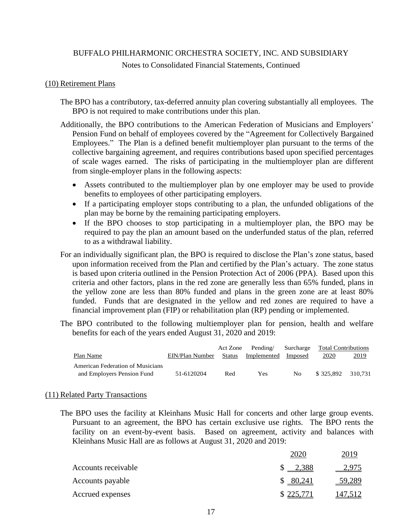Notes to Consolidated Financial Statements, Continued

#### (10) Retirement Plans

- The BPO has a contributory, tax-deferred annuity plan covering substantially all employees. The BPO is not required to make contributions under this plan.
- Additionally, the BPO contributions to the American Federation of Musicians and Employers' Pension Fund on behalf of employees covered by the "Agreement for Collectively Bargained Employees." The Plan is a defined benefit multiemployer plan pursuant to the terms of the collective bargaining agreement, and requires contributions based upon specified percentages of scale wages earned. The risks of participating in the multiemployer plan are different from single-employer plans in the following aspects:
	- Assets contributed to the multiemployer plan by one employer may be used to provide benefits to employees of other participating employers.
	- If a participating employer stops contributing to a plan, the unfunded obligations of the plan may be borne by the remaining participating employers.
	- If the BPO chooses to stop participating in a multiemployer plan, the BPO may be required to pay the plan an amount based on the underfunded status of the plan, referred to as a withdrawal liability.
- For an individually significant plan, the BPO is required to disclose the Plan's zone status, based upon information received from the Plan and certified by the Plan's actuary. The zone status is based upon criteria outlined in the Pension Protection Act of 2006 (PPA). Based upon this criteria and other factors, plans in the red zone are generally less than 65% funded, plans in the yellow zone are less than 80% funded and plans in the green zone are at least 80% funded. Funds that are designated in the yellow and red zones are required to have a financial improvement plan (FIP) or rehabilitation plan (RP) pending or implemented.
- The BPO contributed to the following multiemployer plan for pension, health and welfare benefits for each of the years ended August 31, 2020 and 2019:

|                                         |                 | Act Zone | Pending/    |         | Surcharge Total Contributions |             |
|-----------------------------------------|-----------------|----------|-------------|---------|-------------------------------|-------------|
| Plan Name                               | EIN/Plan Number | Status   | Implemented | Imposed | 2020                          | <u>2019</u> |
| <b>American Federation of Musicians</b> |                 |          |             |         |                               |             |
| and Employers Pension Fund              | 51-6120204      | Red      | Yes         | Nο      | \$325,892 310,731             |             |

#### (11) Related Party Transactions

The BPO uses the facility at Kleinhans Music Hall for concerts and other large group events. Pursuant to an agreement, the BPO has certain exclusive use rights. The BPO rents the facility on an event-by-event basis. Based on agreement, activity and balances with Kleinhans Music Hall are as follows at August 31, 2020 and 2019:

|                     | 2020      | 2019    |
|---------------------|-----------|---------|
| Accounts receivable | \$2,388   | 2,975   |
| Accounts payable    | \$80,241  | 59,289  |
| Accrued expenses    | \$225,771 | 147,512 |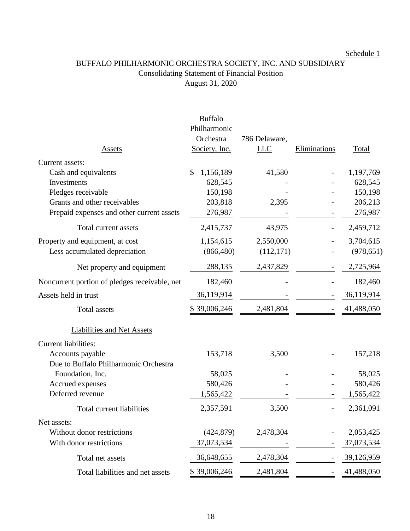# Schedule 1

# BUFFALO PHILHARMONIC ORCHESTRA SOCIETY, INC. AND SUBSIDIARY Consolidating Statement of Financial Position August 31, 2020

|                                               | <b>Buffalo</b>  |               |              |            |
|-----------------------------------------------|-----------------|---------------|--------------|------------|
|                                               | Philharmonic    |               |              |            |
|                                               | Orchestra       | 786 Delaware, |              |            |
| <b>Assets</b>                                 | Society, Inc.   | <b>LLC</b>    | Eliminations | Total      |
| Current assets:                               |                 |               |              |            |
| Cash and equivalents                          | 1,156,189<br>\$ | 41,580        |              | 1,197,769  |
| Investments                                   | 628,545         |               |              | 628,545    |
| Pledges receivable                            | 150,198         |               |              | 150,198    |
| Grants and other receivables                  | 203,818         | 2,395         |              | 206,213    |
| Prepaid expenses and other current assets     | 276,987         |               |              | 276,987    |
| Total current assets                          | 2,415,737       | 43,975        |              | 2,459,712  |
| Property and equipment, at cost               | 1,154,615       | 2,550,000     |              | 3,704,615  |
| Less accumulated depreciation                 | (866, 480)      | (112, 171)    |              | (978, 651) |
| Net property and equipment                    | 288,135         | 2,437,829     |              | 2,725,964  |
| Noncurrent portion of pledges receivable, net | 182,460         |               |              | 182,460    |
| Assets held in trust                          | 36,119,914      |               |              | 36,119,914 |
| <b>Total assets</b>                           | \$39,006,246    | 2,481,804     |              | 41,488,050 |
| Liabilities and Net Assets                    |                 |               |              |            |
| Current liabilities:                          |                 |               |              |            |
| Accounts payable                              | 153,718         | 3,500         |              | 157,218    |
| Due to Buffalo Philharmonic Orchestra         |                 |               |              |            |
| Foundation, Inc.                              | 58,025          |               |              | 58,025     |
| Accrued expenses                              | 580,426         |               |              | 580,426    |
| Deferred revenue                              | 1,565,422       |               |              | 1,565,422  |
| Total current liabilities                     | 2,357,591       | 3,500         |              | 2,361,091  |
| Net assets:                                   |                 |               |              |            |
| Without donor restrictions                    | (424, 879)      | 2,478,304     |              | 2,053,425  |
| With donor restrictions                       | 37,073,534      |               |              | 37,073,534 |
| Total net assets                              | 36,648,655      | 2,478,304     |              | 39,126,959 |
| Total liabilities and net assets              | \$39,006,246    | 2,481,804     |              | 41,488,050 |